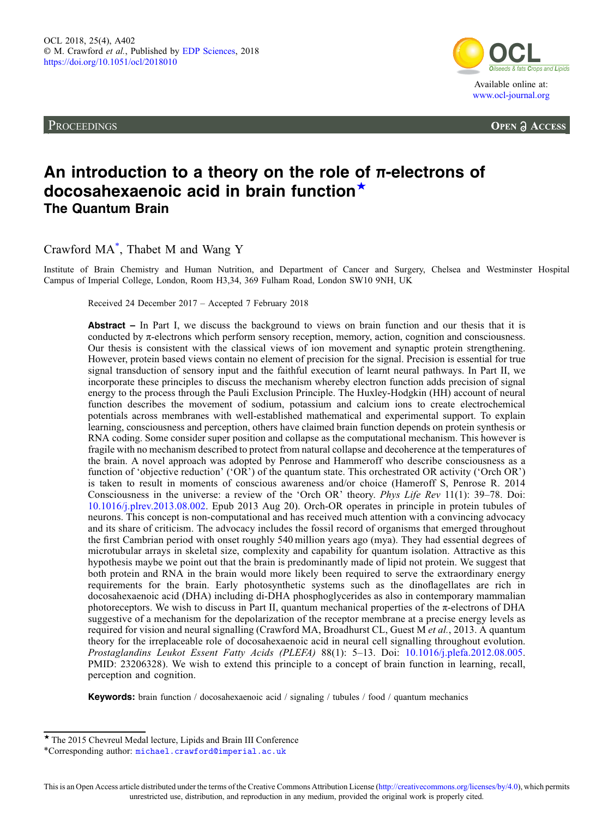<span id="page-0-0"></span>**PROCEEDINGS** 



**OPEN A ACCESS** 

# An introduction to a theory on the role of π-electrons of docosahexaenoic acid in brain function<sup>★</sup> The Quantum Brain

Crawford MA\* , Thabet M and Wang Y

Institute of Brain Chemistry and Human Nutrition, and Department of Cancer and Surgery, Chelsea and Westminster Hospital Campus of Imperial College, London, Room H3,34, 369 Fulham Road, London SW10 9NH, UK

Received 24 December 2017 – Accepted 7 February 2018

Abstract – In Part I, we discuss the background to views on brain function and our thesis that it is conducted by  $\pi$ -electrons which perform sensory reception, memory, action, cognition and consciousness. Our thesis is consistent with the classical views of ion movement and synaptic protein strengthening. However, protein based views contain no element of precision for the signal. Precision is essential for true signal transduction of sensory input and the faithful execution of learnt neural pathways. In Part II, we incorporate these principles to discuss the mechanism whereby electron function adds precision of signal energy to the process through the Pauli Exclusion Principle. The Huxley-Hodgkin (HH) account of neural function describes the movement of sodium, potassium and calcium ions to create electrochemical potentials across membranes with well-established mathematical and experimental support. To explain learning, consciousness and perception, others have claimed brain function depends on protein synthesis or RNA coding. Some consider super position and collapse as the computational mechanism. This however is fragile with no mechanism described to protect from natural collapse and decoherence at the temperatures of the brain. A novel approach was adopted by Penrose and Hammeroff who describe consciousness as a function of ʻobjective reduction' (ʻOR') of the quantum state. This orchestrated OR activity (ʻOrch OR') is taken to result in moments of conscious awareness and/or choice (Hameroff S, Penrose R. 2014 Consciousness in the universe: a review of the ʻOrch OR' theory. Phys Life Rev 11(1): 39–78. Doi: [10.1016/j.plrev.2013.08.002.](https://doi.org/10.1016/j.plrev.2013.08.002) Epub 2013 Aug 20). Orch-OR operates in principle in protein tubules of neurons. This concept is non-computational and has received much attention with a convincing advocacy and its share of criticism. The advocacy includes the fossil record of organisms that emerged throughout the first Cambrian period with onset roughly 540 million years ago (mya). They had essential degrees of microtubular arrays in skeletal size, complexity and capability for quantum isolation. Attractive as this hypothesis maybe we point out that the brain is predominantly made of lipid not protein. We suggest that both protein and RNA in the brain would more likely been required to serve the extraordinary energy requirements for the brain. Early photosynthetic systems such as the dinoflagellates are rich in docosahexaenoic acid (DHA) including di-DHA phosphoglycerides as also in contemporary mammalian photoreceptors. We wish to discuss in Part II, quantum mechanical properties of the π-electrons of DHA suggestive of a mechanism for the depolarization of the receptor membrane at a precise energy levels as required for vision and neural signalling (Crawford MA, Broadhurst CL, Guest M et al., 2013. A quantum theory for the irreplaceable role of docosahexaenoic acid in neural cell signalling throughout evolution. Prostaglandins Leukot Essent Fatty Acids (PLEFA) 88(1): 5–13. Doi: [10.1016/j.plefa.2012.08.005](https://doi.org/10.1016/j.plefa.2012.08.005). PMID: 23206328). We wish to extend this principle to a concept of brain function in learning, recall, perception and cognition.

Keywords: brain function / docosahexaenoic acid / signaling / tubules / food / quantum mechanics

<sup>★</sup> The 2015 Chevreul Medal lecture, Lipids and Brain III Conference

<sup>\*</sup>Corresponding author: [michael.crawford@imperial.ac.uk](mailto:michael.crawford@imperial.ac.uk)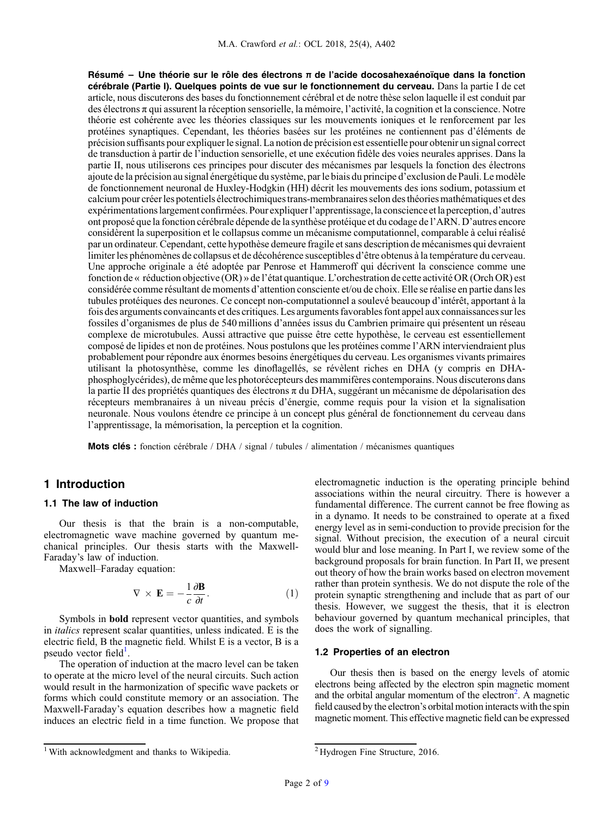Résumé – Une théorie sur le rôle des électrons π de l'acide docosahexaénoïque dans la fonction cérébrale (Partie I). Quelques points de vue sur le fonctionnement du cerveau. Dans la partie I de cet article, nous discuterons des bases du fonctionnement cérébral et de notre thèse selon laquelle il est conduit par des électrons π qui assurent la réception sensorielle, la mémoire, l'activité, la cognition et la conscience. Notre théorie est cohérente avec les théories classiques sur les mouvements ioniques et le renforcement par les protéines synaptiques. Cependant, les théories basées sur les protéines ne contiennent pas d'éléments de précision suffisants pour expliquerle signal. La notion de précision est essentielle pour obtenir un signal correct de transduction à partir de l'induction sensorielle, et une exécution fidèle des voies neurales apprises. Dans la partie II, nous utiliserons ces principes pour discuter des mécanismes par lesquels la fonction des électrons ajoute de la précision au signal énergétique du système, par le biais du principe d'exclusion de Pauli. Le modèle de fonctionnement neuronal de Huxley-Hodgkin (HH) décrit les mouvements des ions sodium, potassium et calcium pour créerles potentiels électrochimiquestrans-membranaires selon des théoriesmathématiques et des expérimentationslargement confirmées. Pour expliquerl'apprentissage,la conscience etla perception, d'autres ont proposé que la fonction cérébrale dépende de la synthèse protéique et du codage de l'ARN. D'autres encore considèrent la superposition et le collapsus comme un mécanisme computationnel, comparable à celui réalisé par un ordinateur. Cependant, cette hypothèse demeure fragile et sans description de mécanismes qui devraient limiter les phénomènes de collapsus et de décohérence susceptibles d'être obtenus à la température du cerveau. Une approche originale a été adoptée par Penrose et Hammeroff qui décrivent la conscience comme une fonction de « réduction objective (OR) » de l'état quantique. L'orchestration de cette activité OR (Orch OR) est considérée comme résultant de moments d'attention consciente et/ou de choix. Elle se réalise en partie dans les tubules protéiques des neurones. Ce concept non-computationnel a soulevé beaucoup d'intérêt, apportant à la fois des arguments convaincants et des critiques. Les arguments favorables font appel aux connaissances sur les fossiles d'organismes de plus de 540 millions d'années issus du Cambrien primaire qui présentent un réseau complexe de microtubules. Aussi attractive que puisse être cette hypothèse, le cerveau est essentiellement composé de lipides et non de protéines. Nous postulons que les protéines comme l'ARN interviendraient plus probablement pour répondre aux énormes besoins énergétiques du cerveau. Les organismes vivants primaires utilisant la photosynthèse, comme les dinoflagellés, se révèlent riches en DHA (y compris en DHAphosphoglycérides), de même que les photorécepteurs des mammifères contemporains. Nous discuterons dans la partie II des propriétés quantiques des électrons π du DHA, suggérant un mécanisme de dépolarisation des récepteurs membranaires à un niveau précis d'énergie, comme requis pour la vision et la signalisation neuronale. Nous voulons étendre ce principe à un concept plus général de fonctionnement du cerveau dans l'apprentissage, la mémorisation, la perception et la cognition.

Mots clés : fonction cérébrale / DHA / signal / tubules / alimentation / mécanismes quantiques

## 1 Introduction

#### 1.1 The law of induction

Our thesis is that the brain is a non-computable, electromagnetic wave machine governed by quantum mechanical principles. Our thesis starts with the Maxwell-Faraday's law of induction.

Maxwell–Faraday equation:

$$
\nabla \times \mathbf{E} = -\frac{1}{c} \frac{\partial \mathbf{B}}{\partial t}.
$$
 (1)

Symbols in bold represent vector quantities, and symbols in italics represent scalar quantities, unless indicated. E is the electric field, B the magnetic field. Whilst E is a vector, B is a pseudo vector field<sup>[1](#page-0-0)</sup>.

The operation of induction at the macro level can be taken to operate at the micro level of the neural circuits. Such action would result in the harmonization of specific wave packets or forms which could constitute memory or an association. The Maxwell-Faraday's equation describes how a magnetic field induces an electric field in a time function. We propose that electromagnetic induction is the operating principle behind associations within the neural circuitry. There is however a fundamental difference. The current cannot be free flowing as in a dynamo. It needs to be constrained to operate at a fixed energy level as in semi-conduction to provide precision for the signal. Without precision, the execution of a neural circuit would blur and lose meaning. In Part I, we review some of the background proposals for brain function. In Part II, we present out theory of how the brain works based on electron movement rather than protein synthesis. We do not dispute the role of the protein synaptic strengthening and include that as part of our thesis. However, we suggest the thesis, that it is electron behaviour governed by quantum mechanical principles, that does the work of signalling.

#### 1.2 Properties of an electron

Our thesis then is based on the energy levels of atomic electrons being affected by the electron spin magnetic moment and the orbital angular momentum of the electron<sup>2</sup>. A magnetic field caused by the electron's orbital motion interacts with the spin magnetic moment. This effective magnetic field can be expressed

<sup>&</sup>lt;sup>1</sup> With acknowledgment and thanks to Wikipedia.  $2Hydrogen$  Fine Structure, 2016.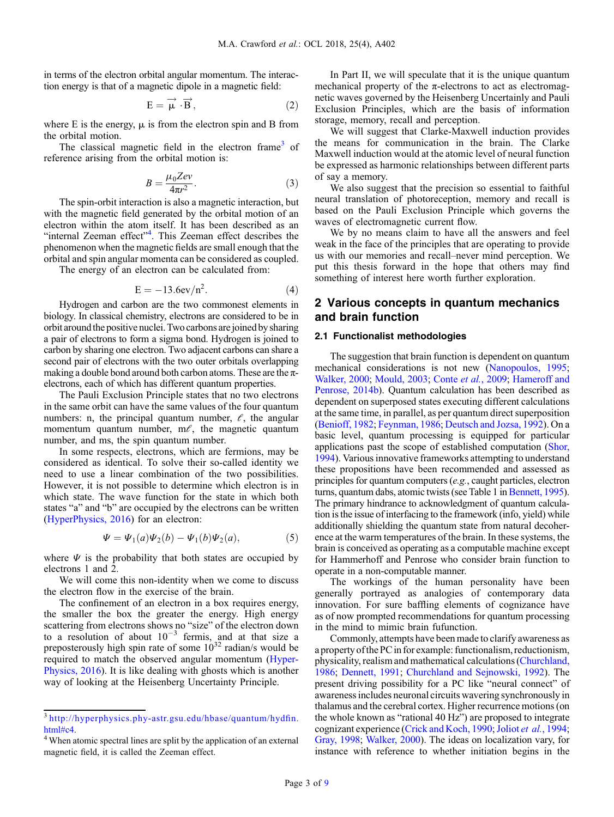in terms of the electron orbital angular momentum. The interaction energy is that of a magnetic dipole in a magnetic field:

$$
E = \overrightarrow{\mu} \cdot \overrightarrow{B}, \qquad (2)
$$

where E is the energy,  $\mu$  is from the electron spin and B from the orbital motion.

The classical magnetic field in the electron frame<sup>3</sup> of reference arising from the orbital motion is:

$$
B = \frac{\mu_0 Z e v}{4\pi r^2}.
$$
 (3)

The spin-orbit interaction is also a magnetic interaction, but with the magnetic field generated by the orbital motion of an electron within the atom itself. It has been described as an "internal Zeeman effect"<sup>4</sup>. This Zeeman effect describes the phenomenon when the magnetic fields are small enough that the orbital and spin angular momenta can be considered as coupled.

The energy of an electron can be calculated from:

$$
E = -13.6ev/n2.
$$
 (4)

Hydrogen and carbon are the two commonest elements in biology. In classical chemistry, electrons are considered to be in orbit around the positive nuclei. Two carbons are joined by sharing a pair of electrons to form a sigma bond. Hydrogen is joined to carbon by sharing one electron. Two adjacent carbons can share a second pair of electrons with the two outer orbitals overlapping making a double bond around both carbon atoms. These are the  $\pi$ electrons, each of which has different quantum properties.

The Pauli Exclusion Principle states that no two electrons in the same orbit can have the same values of the four quantum numbers: n, the principal quantum number,  $\ell$ , the angular momentum quantum number,  $m\ell$ , the magnetic quantum number, and ms, the spin quantum number.

In some respects, electrons, which are fermions, may be considered as identical. To solve their so-called identity we need to use a linear combination of the two possibilities. However, it is not possible to determine which electron is in which state. The wave function for the state in which both states "a" and "b" are occupied by the electrons can be written ([HyperPhysics, 2016\)](#page-6-0) for an electron:

$$
\Psi = \Psi_1(a)\Psi_2(b) - \Psi_1(b)\Psi_2(a),\tag{5}
$$

where  $\Psi$  is the probability that both states are occupied by electrons 1 and 2.

We will come this non-identity when we come to discuss the electron flow in the exercise of the brain.

The confinement of an electron in a box requires energy, the smaller the box the greater the energy. High energy scattering from electrons shows no "size" of the electron down to a resolution of about  $10^{-3}$  fermis, and at that size a preposterously high spin rate of some  $10^{32}$  radian/s would be required to match the observed angular momentum ([Hyper-](#page-6-0)[Physics, 2016](#page-6-0)). It is like dealing with ghosts which is another way of looking at the Heisenberg Uncertainty Principle.

In Part II, we will speculate that it is the unique quantum mechanical property of the  $\pi$ -electrons to act as electromagnetic waves governed by the Heisenberg Uncertainly and Pauli Exclusion Principles, which are the basis of information storage, memory, recall and perception.

We will suggest that Clarke-Maxwell induction provides the means for communication in the brain. The Clarke Maxwell induction would at the atomic level of neural function be expressed as harmonic relationships between different parts of say a memory.

We also suggest that the precision so essential to faithful neural translation of photoreception, memory and recall is based on the Pauli Exclusion Principle which governs the waves of electromagnetic current flow.

We by no means claim to have all the answers and feel weak in the face of the principles that are operating to provide us with our memories and recall–never mind perception. We put this thesis forward in the hope that others may find something of interest here worth further exploration.

# 2 Various concepts in quantum mechanics and brain function

## 2.1 Functionalist methodologies

The suggestion that brain function is dependent on quantum mechanical considerations is not new ([Nanopoulos, 1995;](#page-6-0) [Walker, 2000](#page-7-0); [Mould, 2003](#page-6-0); Conte et al.[, 2009;](#page-6-0) [Hameroff and](#page-6-0) [Penrose, 2014b](#page-6-0)). Quantum calculation has been described as dependent on superposed states executing different calculations at the same time, in parallel, as per quantum direct superposition ([Benioff, 1982](#page-6-0); [Feynman, 1986](#page-6-0); [Deutsch and Jozsa, 1992](#page-6-0)). On a basic level, quantum processing is equipped for particular applications past the scope of established computation [\(Shor,](#page-7-0) [1994](#page-7-0)). Various innovative frameworks attempting to understand these propositions have been recommended and assessed as principles for quantum computers (e.g., caught particles, electron turns, quantum dabs, atomic twists (see Table 1 in [Bennett, 1995](#page-6-0)). The primary hindrance to acknowledgment of quantum calculation is the issue of interfacing to the framework (info, yield) while additionally shielding the quantum state from natural decoherence at the warm temperatures of the brain. In these systems, the brain is conceived as operating as a computable machine except for Hammerhoff and Penrose who consider brain function to operate in a non-computable manner.

The workings of the human personality have been generally portrayed as analogies of contemporary data innovation. For sure baffling elements of cognizance have as of now prompted recommendations for quantum processing in the mind to mimic brain fufunction.

Commonly, attempts have been made to clarify awareness as a property ofthe PCin for example: functionalism, reductionism, physicality, realism and mathematical calculations [\(Churchland,](#page-6-0) [1986](#page-6-0); [Dennett, 1991](#page-6-0); [Churchland and Sejnowski, 1992](#page-6-0)). The present driving possibility for a PC like "neural connect" of awareness includes neuronal circuits wavering synchronously in thalamus and the cerebral cortex. Higher recurrence motions (on the whole known as "rational 40 Hz") are proposed to integrate cognizant experience ([Crick and Koch, 1990;](#page-6-0) Joliot et al.[, 1994;](#page-6-0) [Gray, 1998](#page-6-0); [Walker, 2000\)](#page-7-0). The ideas on localization vary, for instance with reference to whether initiation begins in the

<sup>3</sup> [http://hyperphysics.phy-astr.gsu.edu/hbase/quantum/hyd](http://hyperphysics.phy-astr.gsu.edu/hbase/quantum/hydfin.html#c4)fin. [html#c4.](http://hyperphysics.phy-astr.gsu.edu/hbase/quantum/hydfin.html#c4)<br><sup>4</sup> When atomic spectral lines are split by the application of an external

magnetic field, it is called the Zeeman effect.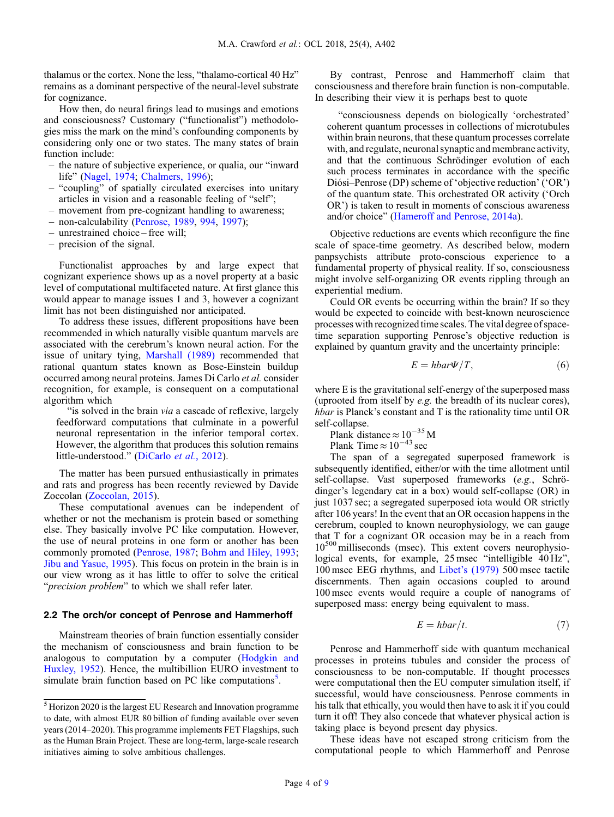thalamus or the cortex. None the less, "thalamo-cortical 40 Hz" remains as a dominant perspective of the neural-level substrate for cognizance.

How then, do neural firings lead to musings and emotions and consciousness? Customary ("functionalist") methodologies miss the mark on the mind's confounding components by considering only one or two states. The many states of brain function include:

- the nature of subjective experience, or qualia, our "inward life" [\(Nagel, 1974;](#page-6-0) [Chalmers, 1996\)](#page-6-0);
- "coupling" of spatially circulated exercises into unitary articles in vision and a reasonable feeling of "self";
- movement from pre-cognizant handling to awareness;
- non-calculability [\(Penrose, 1989,](#page-7-0) [994](#page-7-0), [1997\)](#page-7-0);
- unrestrained choice free will;
- precision of the signal.

Functionalist approaches by and large expect that cognizant experience shows up as a novel property at a basic level of computational multifaceted nature. At first glance this would appear to manage issues 1 and 3, however a cognizant limit has not been distinguished nor anticipated.

To address these issues, different propositions have been recommended in which naturally visible quantum marvels are associated with the cerebrum's known neural action. For the issue of unitary tying, [Marshall \(1989\)](#page-6-0) recommended that rational quantum states known as Bose-Einstein buildup occurred among neural proteins. James Di Carlo et al. consider recognition, for example, is consequent on a computational algorithm which

"is solved in the brain *via* a cascade of reflexive, largely feedforward computations that culminate in a powerful neuronal representation in the inferior temporal cortex. However, the algorithm that produces this solution remains little-understood." ([DiCarlo](#page-6-0) et al., 2012).

The matter has been pursued enthusiastically in primates and rats and progress has been recently reviewed by Davide Zoccolan [\(Zoccolan, 2015](#page-7-0)).

These computational avenues can be independent of whether or not the mechanism is protein based or something else. They basically involve PC like computation. However, the use of neural proteins in one form or another has been commonly promoted ([Penrose, 1987;](#page-7-0) [Bohm and Hiley, 1993](#page-6-0); [Jibu and Yasue, 1995\)](#page-6-0). This focus on protein in the brain is in our view wrong as it has little to offer to solve the critical "precision problem" to which we shall refer later.

#### 2.2 The orch/or concept of Penrose and Hammerhoff

Mainstream theories of brain function essentially consider the mechanism of consciousness and brain function to be analogous to computation by a computer [\(Hodgkin and](#page-6-0) [Huxley, 1952](#page-6-0)). Hence, the multibillion EURO investment to simulate brain function based on PC like computations<sup>5</sup>.

By contrast, Penrose and Hammerhoff claim that consciousness and therefore brain function is non-computable. In describing their view it is perhaps best to quote

"consciousness depends on biologically ʻorchestrated' coherent quantum processes in collections of microtubules within brain neurons, that these quantum processes correlate with, and regulate, neuronal synaptic and membrane activity, and that the continuous Schrödinger evolution of each such process terminates in accordance with the specific Diósi–Penrose (DP) scheme of ʻobjective reduction' (ʻOR') of the quantum state. This orchestrated OR activity (ʻOrch OR') is taken to result in moments of conscious awareness and/or choice" [\(Hameroff and Penrose, 2014a\)](#page-6-0).

Objective reductions are events which reconfigure the fine scale of space-time geometry. As described below, modern panpsychists attribute proto-conscious experience to a fundamental property of physical reality. If so, consciousness might involve self-organizing OR events rippling through an experiential medium.

Could OR events be occurring within the brain? If so they would be expected to coincide with best-known neuroscience processes with recognized time scales. The vital degree of spacetime separation supporting Penrose's objective reduction is explained by quantum gravity and the uncertainty principle:

$$
E = hbar\Psi/T, \tag{6}
$$

where E is the gravitational self-energy of the superposed mass (uprooted from itself by e.g. the breadth of its nuclear cores), hbar is Planck's constant and T is the rationality time until OR self-collapse.

Plank distance  $\approx 10^{-35}$  M

Plank Time  $\approx 10^{-43}$  sec

The span of a segregated superposed framework is subsequently identified, either/or with the time allotment until self-collapse. Vast superposed frameworks (e.g., Schrödinger's legendary cat in a box) would self-collapse (OR) in just 1037 sec; a segregated superposed iota would OR strictly after 106 years! In the event that an OR occasion happens in the cerebrum, coupled to known neurophysiology, we can gauge that T for a cognizant OR occasion may be in a reach from  $10^{500}$  milliseconds (msec). This extent covers neurophysiological events, for example, 25 msec "intelligible 40 Hz", 100 msec EEG rhythms, and Libet'[s \(1979\)](#page-6-0) 500 msec tactile discernments. Then again occasions coupled to around 100 msec events would require a couple of nanograms of superposed mass: energy being equivalent to mass.

$$
E = hbar/t.
$$
 (7)

Penrose and Hammerhoff side with quantum mechanical processes in proteins tubules and consider the process of consciousness to be non-computable. If thought processes were computational then the EU computer simulation itself, if successful, would have consciousness. Penrose comments in his talk that ethically, you would then have to ask it if you could turn it off! They also concede that whatever physical action is taking place is beyond present day physics.

These ideas have not escaped strong criticism from the computational people to which Hammerhoff and Penrose

<sup>5</sup> Horizon 2020 is the largest EU Research and Innovation programme to date, with almost EUR 80 billion of funding available over seven years (2014–2020). This programme implements FET Flagships, such as the Human Brain Project. These are long-term, large-scale research initiatives aiming to solve ambitious challenges.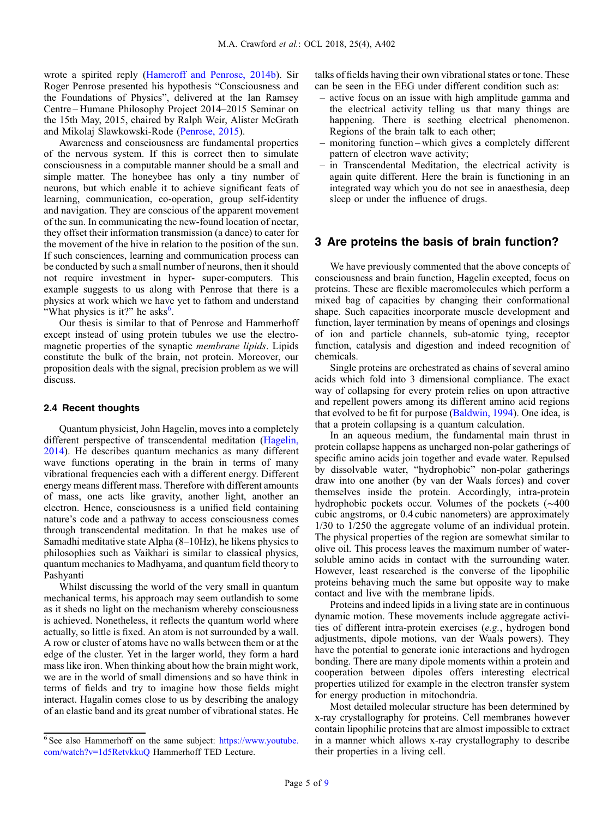wrote a spirited reply ([Hameroff and Penrose, 2014b\)](#page-6-0). Sir Roger Penrose presented his hypothesis "Consciousness and the Foundations of Physics", delivered at the Ian Ramsey Centre – Humane Philosophy Project 2014–2015 Seminar on the 15th May, 2015, chaired by Ralph Weir, Alister McGrath and Mikolaj Slawkowski-Rode ([Penrose, 2015](#page-7-0)).

Awareness and consciousness are fundamental properties of the nervous system. If this is correct then to simulate consciousness in a computable manner should be a small and simple matter. The honeybee has only a tiny number of neurons, but which enable it to achieve significant feats of learning, communication, co-operation, group self-identity and navigation. They are conscious of the apparent movement of the sun. In communicating the new-found location of nectar, they offset their information transmission (a dance) to cater for the movement of the hive in relation to the position of the sun. If such consciences, learning and communication process can be conducted by such a small number of neurons, then it should not require investment in hyper- super-computers. This example suggests to us along with Penrose that there is a physics at work which we have yet to fathom and understand "What physics is it?" he asks $<sup>6</sup>$ .</sup>

Our thesis is similar to that of Penrose and Hammerhoff except instead of using protein tubules we use the electromagnetic properties of the synaptic membrane lipids. Lipids constitute the bulk of the brain, not protein. Moreover, our proposition deals with the signal, precision problem as we will discuss.

#### 2.4 Recent thoughts

Quantum physicist, John Hagelin, moves into a completely different perspective of transcendental meditation ([Hagelin,](#page-6-0) [2014](#page-6-0)). He describes quantum mechanics as many different wave functions operating in the brain in terms of many vibrational frequencies each with a different energy. Different energy means different mass. Therefore with different amounts of mass, one acts like gravity, another light, another an electron. Hence, consciousness is a unified field containing nature's code and a pathway to access consciousness comes through transcendental meditation. In that he makes use of Samadhi meditative state Alpha (8–10Hz), he likens physics to philosophies such as Vaikhari is similar to classical physics, quantum mechanics to Madhyama, and quantum field theory to Pashyanti

Whilst discussing the world of the very small in quantum mechanical terms, his approach may seem outlandish to some as it sheds no light on the mechanism whereby consciousness is achieved. Nonetheless, it reflects the quantum world where actually, so little is fixed. An atom is not surrounded by a wall. A row or cluster of atoms have no walls between them or at the edge of the cluster. Yet in the larger world, they form a hard mass like iron. When thinking about how the brain might work, we are in the world of small dimensions and so have think in terms of fields and try to imagine how those fields might interact. Hagalin comes close to us by describing the analogy of an elastic band and its great number of vibrational states. He talks of fields having their own vibrational states or tone. These can be seen in the EEG under different condition such as:

- active focus on an issue with high amplitude gamma and the electrical activity telling us that many things are happening. There is seething electrical phenomenon. Regions of the brain talk to each other;
- monitoring function which gives a completely different pattern of electron wave activity;
- in Transcendental Meditation, the electrical activity is again quite different. Here the brain is functioning in an integrated way which you do not see in anaesthesia, deep sleep or under the influence of drugs.

## 3 Are proteins the basis of brain function?

We have previously commented that the above concepts of consciousness and brain function, Hagelin excepted, focus on proteins. These are flexible macromolecules which perform a mixed bag of capacities by changing their conformational shape. Such capacities incorporate muscle development and function, layer termination by means of openings and closings of ion and particle channels, sub-atomic tying, receptor function, catalysis and digestion and indeed recognition of chemicals.

Single proteins are orchestrated as chains of several amino acids which fold into 3 dimensional compliance. The exact way of collapsing for every protein relies on upon attractive and repellent powers among its different amino acid regions that evolved to be fit for purpose [\(Baldwin, 1994\)](#page-6-0). One idea, is that a protein collapsing is a quantum calculation.

In an aqueous medium, the fundamental main thrust in protein collapse happens as uncharged non-polar gatherings of specific amino acids join together and evade water. Repulsed by dissolvable water, "hydrophobic" non-polar gatherings draw into one another (by van der Waals forces) and cover themselves inside the protein. Accordingly, intra-protein hydrophobic pockets occur. Volumes of the pockets (∼400 cubic angstroms, or 0.4 cubic nanometers) are approximately 1/30 to 1/250 the aggregate volume of an individual protein. The physical properties of the region are somewhat similar to olive oil. This process leaves the maximum number of watersoluble amino acids in contact with the surrounding water. However, least researched is the converse of the lipophilic proteins behaving much the same but opposite way to make contact and live with the membrane lipids.

Proteins and indeed lipids in a living state are in continuous dynamic motion. These movements include aggregate activities of different intra-protein exercises (e.g., hydrogen bond adjustments, dipole motions, van der Waals powers). They have the potential to generate ionic interactions and hydrogen bonding. There are many dipole moments within a protein and cooperation between dipoles offers interesting electrical properties utilized for example in the electron transfer system for energy production in mitochondria.

Most detailed molecular structure has been determined by x-ray crystallography for proteins. Cell membranes however contain lipophilic proteins that are almost impossible to extract in a manner which allows x-ray crystallography to describe their properties in a living cell.

<sup>6</sup> See also Hammerhoff on the same subject: [https://www.youtube.](https://www.youtube.com/watch?v=1d5RetvkkuQ) [com/watch?v=1d5RetvkkuQ](https://www.youtube.com/watch?v=1d5RetvkkuQ) Hammerhoff TED Lecture.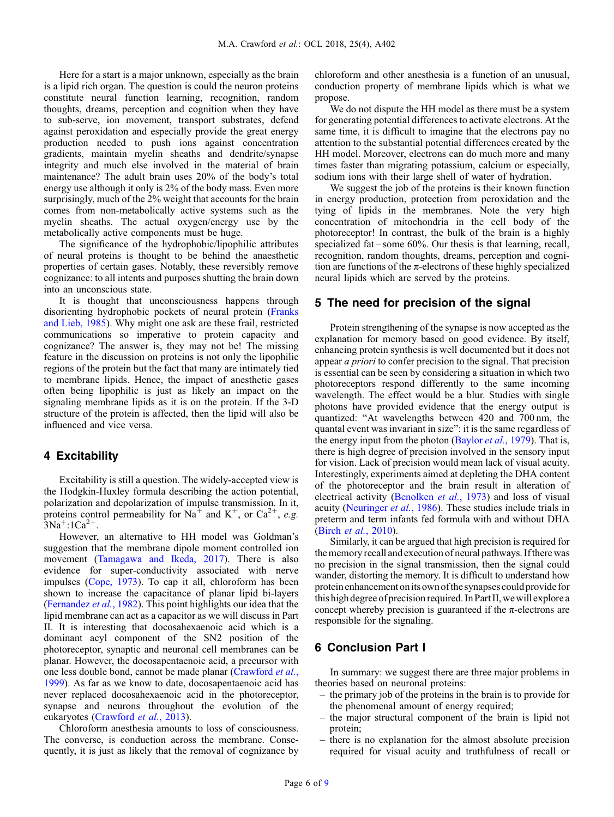Here for a start is a major unknown, especially as the brain is a lipid rich organ. The question is could the neuron proteins constitute neural function learning, recognition, random thoughts, dreams, perception and cognition when they have to sub-serve, ion movement, transport substrates, defend against peroxidation and especially provide the great energy production needed to push ions against concentration gradients, maintain myelin sheaths and dendrite/synapse integrity and much else involved in the material of brain maintenance? The adult brain uses 20% of the body's total energy use although it only is 2% of the body mass. Even more surprisingly, much of the 2% weight that accounts for the brain comes from non-metabolically active systems such as the myelin sheaths. The actual oxygen/energy use by the metabolically active components must be huge.

The significance of the hydrophobic/lipophilic attributes of neural proteins is thought to be behind the anaesthetic properties of certain gases. Notably, these reversibly remove cognizance: to all intents and purposes shutting the brain down into an unconscious state.

It is thought that unconsciousness happens through disorienting hydrophobic pockets of neural protein ([Franks](#page-6-0) [and Lieb, 1985](#page-6-0)). Why might one ask are these frail, restricted communications so imperative to protein capacity and cognizance? The answer is, they may not be! The missing feature in the discussion on proteins is not only the lipophilic regions of the protein but the fact that many are intimately tied to membrane lipids. Hence, the impact of anesthetic gases often being lipophilic is just as likely an impact on the signaling membrane lipids as it is on the protein. If the 3-D structure of the protein is affected, then the lipid will also be influenced and vice versa.

## 4 Excitability

Excitability is still a question. The widely-accepted view is the Hodgkin-Huxley formula describing the action potential, polarization and depolarization of impulse transmission. In it, proteins control permeability for Na<sup>+</sup> and K<sup>+</sup>, or Ca<sup>2+</sup>, e.g.  $3Na^{+}:1Ca^{2+}.$ 

However, an alternative to HH model was Goldman's suggestion that the membrane dipole moment controlled ion movement ([Tamagawa and Ikeda, 2017](#page-7-0)). There is also evidence for super-conductivity associated with nerve impulses ([Cope, 1973\)](#page-6-0). To cap it all, chloroform has been shown to increase the capacitance of planar lipid bi-layers ([Fernandez](#page-6-0) et al., 1982). This point highlights our idea that the lipid membrane can act as a capacitor as we will discuss in Part II. It is interesting that docosahexaenoic acid which is a dominant acyl component of the SN2 position of the photoreceptor, synaptic and neuronal cell membranes can be planar. However, the docosapentaenoic acid, a precursor with one less double bond, cannot be made planar ([Crawford](#page-6-0) et al., [1999](#page-6-0)). As far as we know to date, docosapentaenoic acid has never replaced docosahexaenoic acid in the photoreceptor, synapse and neurons throughout the evolution of the eukaryotes [\(Crawford](#page-6-0) et al., 2013).

Chloroform anesthesia amounts to loss of consciousness. The converse, is conduction across the membrane. Consequently, it is just as likely that the removal of cognizance by chloroform and other anesthesia is a function of an unusual, conduction property of membrane lipids which is what we propose.

We do not dispute the HH model as there must be a system for generating potential differences to activate electrons. At the same time, it is difficult to imagine that the electrons pay no attention to the substantial potential differences created by the HH model. Moreover, electrons can do much more and many times faster than migrating potassium, calcium or especially, sodium ions with their large shell of water of hydration.

We suggest the job of the proteins is their known function in energy production, protection from peroxidation and the tying of lipids in the membranes. Note the very high concentration of mitochondria in the cell body of the photoreceptor! In contrast, the bulk of the brain is a highly specialized fat – some 60%. Our thesis is that learning, recall, recognition, random thoughts, dreams, perception and cognition are functions of the  $\pi$ -electrons of these highly specialized neural lipids which are served by the proteins.

## 5 The need for precision of the signal

Protein strengthening of the synapse is now accepted as the explanation for memory based on good evidence. By itself, enhancing protein synthesis is well documented but it does not appear a priori to confer precision to the signal. That precision is essential can be seen by considering a situation in which two photoreceptors respond differently to the same incoming wavelength. The effect would be a blur. Studies with single photons have provided evidence that the energy output is quantized: "At wavelengths between 420 and 700 nm, the quantal event was invariant in size": it is the same regardless of the energy input from the photon [\(Baylor](#page-6-0) et al., 1979). That is, there is high degree of precision involved in the sensory input for vision. Lack of precision would mean lack of visual acuity. Interestingly, experiments aimed at depleting the DHA content of the photoreceptor and the brain result in alteration of electrical activity ([Benolken](#page-6-0) et al., 1973) and loss of visual acuity ([Neuringer](#page-6-0) et al., 1986). These studies include trials in preterm and term infants fed formula with and without DHA (Birch et al.[, 2010\)](#page-6-0).

Similarly, it can be argued that high precision is required for the memory recall and execution of neural pathways. Ifthere was no precision in the signal transmission, then the signal could wander, distorting the memory. It is difficult to understand how protein enhancement onits own ofthe synapses could provide for this high degree of precision required. In Part II, we will explore a concept whereby precision is guaranteed if the  $\pi$ -electrons are responsible for the signaling.

## 6 Conclusion Part I

In summary: we suggest there are three major problems in theories based on neuronal proteins:

- the primary job of the proteins in the brain is to provide for the phenomenal amount of energy required;
- the major structural component of the brain is lipid not protein;
- there is no explanation for the almost absolute precision required for visual acuity and truthfulness of recall or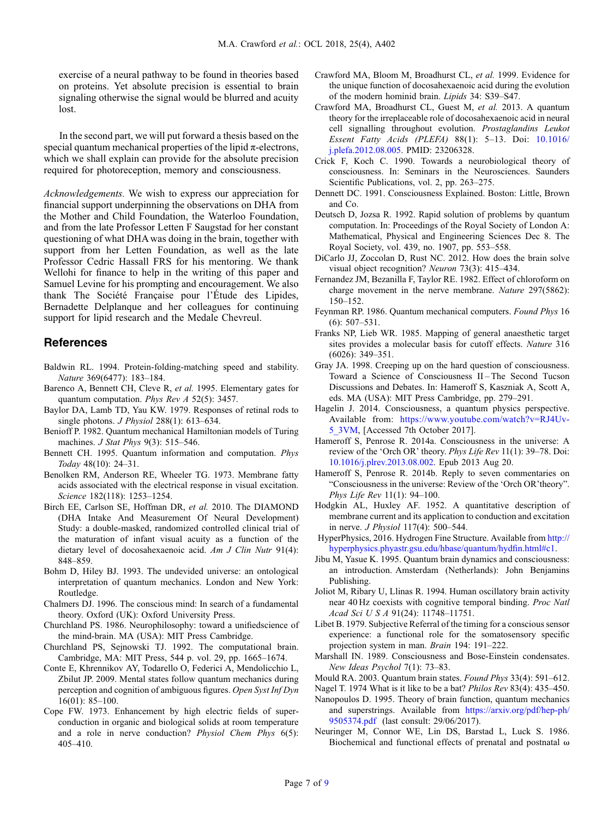<span id="page-6-0"></span>exercise of a neural pathway to be found in theories based on proteins. Yet absolute precision is essential to brain signaling otherwise the signal would be blurred and acuity lost.

In the second part, we will put forward a thesis based on the special quantum mechanical properties of the lipid  $\pi$ -electrons, which we shall explain can provide for the absolute precision required for photoreception, memory and consciousness.

Acknowledgements. We wish to express our appreciation for financial support underpinning the observations on DHA from the Mother and Child Foundation, the Waterloo Foundation, and from the late Professor Letten F Saugstad for her constant questioning of what DHA was doing in the brain, together with support from her Letten Foundation, as well as the late Professor Cedric Hassall FRS for his mentoring. We thank Wellohi for finance to help in the writing of this paper and Samuel Levine for his prompting and encouragement. We also thank The Société Française pour l'Étude des Lipides, Bernadette Delplanque and her colleagues for continuing support for lipid research and the Medale Chevreul.

### References

- Baldwin RL. 1994. Protein-folding-matching speed and stability. Nature 369(6477): 183–184.
- Barenco A, Bennett CH, Cleve R, et al. 1995. Elementary gates for quantum computation. Phys Rev A 52(5): 3457.
- Baylor DA, Lamb TD, Yau KW. 1979. Responses of retinal rods to single photons. *J Physiol* 288(1): 613–634.
- Benioff P. 1982. Quantum mechanical Hamiltonian models of Turing machines. *J Stat Phys* 9(3): 515–546.
- Bennett CH. 1995. Quantum information and computation. Phys Today 48(10): 24–31.
- Benolken RM, Anderson RE, Wheeler TG. 1973. Membrane fatty acids associated with the electrical response in visual excitation. Science 182(118): 1253–1254.
- Birch EE, Carlson SE, Hoffman DR, et al. 2010. The DIAMOND (DHA Intake And Measurement Of Neural Development) Study: a double-masked, randomized controlled clinical trial of the maturation of infant visual acuity as a function of the dietary level of docosahexaenoic acid. Am J Clin Nutr 91(4): 848–859.
- Bohm D, Hiley BJ. 1993. The undevided universe: an ontological interpretation of quantum mechanics. London and New York: Routledge.
- Chalmers DJ. 1996. The conscious mind: In search of a fundamental theory. Oxford (UK): Oxford University Press.
- Churchland PS. 1986. Neurophilosophy: toward a unifiedscience of the mind-brain. MA (USA): MIT Press Cambridge.
- Churchland PS, Sejnowski TJ. 1992. The computational brain. Cambridge, MA: MIT Press, 544 p. vol. 29, pp. 1665–1674.
- Conte E, Khrennikov AY, Todarello O, Federici A, Mendolicchio L, Zbilut JP. 2009. Mental states follow quantum mechanics during perception and cognition of ambiguous figures. Open Syst Inf Dyn 16(01): 85–100.
- Cope FW. 1973. Enhancement by high electric fields of superconduction in organic and biological solids at room temperature and a role in nerve conduction? Physiol Chem Phys 6(5): 405–410.
- Crawford MA, Bloom M, Broadhurst CL, et al. 1999. Evidence for the unique function of docosahexaenoic acid during the evolution of the modern hominid brain. Lipids 34: S39–S47.
- Crawford MA, Broadhurst CL, Guest M, et al. 2013. A quantum theory for the irreplaceable role of docosahexaenoic acid in neural cell signalling throughout evolution. Prostaglandins Leukot Essent Fatty Acids (PLEFA) 88(1): 5–13. Doi: [10.1016/](https://doi.org/10.1016/j.plefa.2012.08.005) [j.plefa.2012.08.005](https://doi.org/10.1016/j.plefa.2012.08.005). PMID: 23206328.
- Crick F, Koch C. 1990. Towards a neurobiological theory of consciousness. In: Seminars in the Neurosciences. Saunders Scientific Publications, vol. 2, pp. 263–275.
- Dennett DC. 1991. Consciousness Explained. Boston: Little, Brown and Co.
- Deutsch D, Jozsa R. 1992. Rapid solution of problems by quantum computation. In: Proceedings of the Royal Society of London A: Mathematical, Physical and Engineering Sciences Dec 8. The Royal Society, vol. 439, no. 1907, pp. 553–558.
- DiCarlo JJ, Zoccolan D, Rust NC. 2012. How does the brain solve visual object recognition? Neuron 73(3): 415–434.
- Fernandez JM, Bezanilla F, Taylor RE. 1982. Effect of chloroform on charge movement in the nerve membrane. Nature 297(5862): 150–152.
- Feynman RP. 1986. Quantum mechanical computers. Found Phys 16 (6): 507–531.
- Franks NP, Lieb WR. 1985. Mapping of general anaesthetic target sites provides a molecular basis for cutoff effects. Nature 316 (6026): 349–351.
- Gray JA. 1998. Creeping up on the hard question of consciousness. Toward a Science of Consciousness II – The Second Tucson Discussions and Debates. In: Hameroff S, Kaszniak A, Scott A, eds. MA (USA): MIT Press Cambridge, pp. 279–291.
- Hagelin J. 2014. Consciousness, a quantum physics perspective. Available from: [https://www.youtube.com/watch?v=RJ4Uv-](https://www.youtube.com/watch?v=RJ4Uv-5_3VM)[5\\_3VM](https://www.youtube.com/watch?v=RJ4Uv-5_3VM), [Accessed 7th October 2017].
- Hameroff S, Penrose R. 2014a. Consciousness in the universe: A review of the 'Orch OR' theory. Phys Life Rev 11(1): 39–78. Doi: [10.1016/j.plrev.2013.08.002.](https://doi.org/10.1016/j.plrev.2013.08.002) Epub 2013 Aug 20.
- Hameroff S, Penrose R. 2014b. Reply to seven commentaries on "Consciousness in the universe: Review of the 'Orch OR'theory". Phys Life Rev 11(1): 94–100.
- Hodgkin AL, Huxley AF. 1952. A quantitative description of membrane current and its application to conduction and excitation in nerve. J Physiol 117(4): 500–544.
- HyperPhysics, 2016. Hydrogen Fine Structure. Available from [http://](http://hyperphysics.phyastr.gsu.edu/hbase/quantum/hydfin.html#c1) [hyperphysics.phyastr.gsu.edu/hbase/quantum/hyd](http://hyperphysics.phyastr.gsu.edu/hbase/quantum/hydfin.html#c1)fin.html#c1.
- Jibu M, Yasue K. 1995. Quantum brain dynamics and consciousness: an introduction. Amsterdam (Netherlands): John Benjamins Publishing.
- Joliot M, Ribary U, Llinas R. 1994. Human oscillatory brain activity near 40 Hz coexists with cognitive temporal binding. Proc Natl Acad Sci U S A 91(24): 11748–11751.
- Libet B. 1979. Subjective Referral of the timing for a conscious sensor experience: a functional role for the somatosensory specific projection system in man. Brain 194: 191–222.
- Marshall IN. 1989. Consciousness and Bose-Einstein condensates. New Ideas Psychol 7(1): 73–83.

- Nagel T. 1974 What is it like to be a bat? Philos Rev 83(4): 435–450.
- Nanopoulos D. 1995. Theory of brain function, quantum mechanics and superstrings. Available from [https://arxiv.org/pdf/hep-ph/](https://arxiv.org/pdf/hep-ph/9505374.pdf) [9505374.pdf](https://arxiv.org/pdf/hep-ph/9505374.pdf) (last consult: 29/06/2017).
- Neuringer M, Connor WE, Lin DS, Barstad L, Luck S. 1986. Biochemical and functional effects of prenatal and postnatal  $\omega$

Mould RA. 2003. Quantum brain states. Found Phys 33(4): 591–612.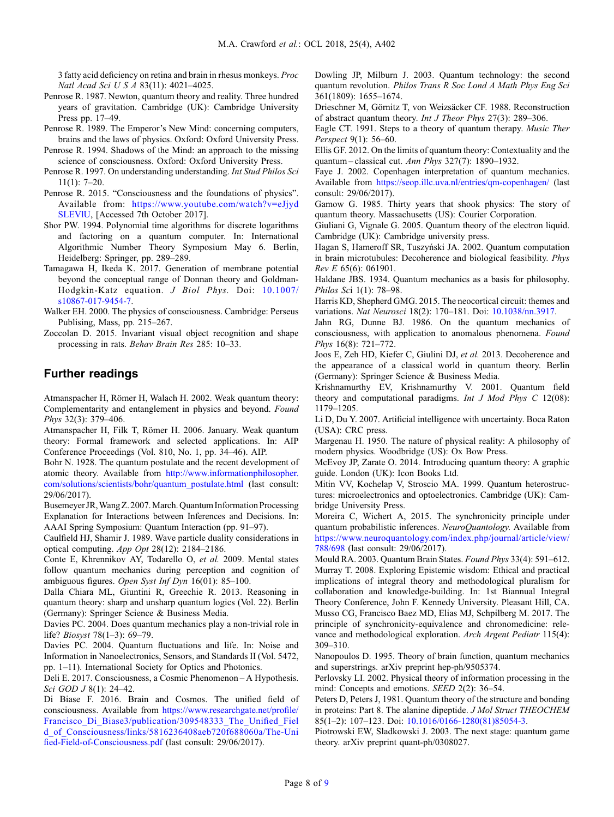<span id="page-7-0"></span>3 fatty acid deficiency on retina and brain in rhesus monkeys. Proc Natl Acad Sci U S A 83(11): 4021–4025.

- Penrose R. 1987. Newton, quantum theory and reality. Three hundred years of gravitation. Cambridge (UK): Cambridge University Press pp. 17–49.
- Penrose R. 1989. The Emperor's New Mind: concerning computers, brains and the laws of physics. Oxford: Oxford University Press.
- Penrose R. 1994. Shadows of the Mind: an approach to the missing science of consciousness. Oxford: Oxford University Press.
- Penrose R. 1997. On understanding understanding. Int Stud Philos Sci 11(1): 7–20.
- Penrose R. 2015. "Consciousness and the foundations of physics". Available from: [https://www.youtube.com/watch?v=eJjyd](https://www.youtube.com/watch?v=eJjydSLEVlU) [SLEVlU,](https://www.youtube.com/watch?v=eJjydSLEVlU) [Accessed 7th October 2017].
- Shor PW. 1994. Polynomial time algorithms for discrete logarithms and factoring on a quantum computer. In: International Algorithmic Number Theory Symposium May 6. Berlin, Heidelberg: Springer, pp. 289–289.
- Tamagawa H, Ikeda K. 2017. Generation of membrane potential beyond the conceptual range of Donnan theory and Goldman-Hodgkin-Katz equation. J Biol Phys. Doi: [10.1007/](https://doi.org/10.1007/s10867-017-9454-7) [s10867-017-9454-7](https://doi.org/10.1007/s10867-017-9454-7).
- Walker EH. 2000. The physics of consciousness. Cambridge: Perseus Publising, Mass, pp. 215–267.
- Zoccolan D. 2015. Invariant visual object recognition and shape processing in rats. Behav Brain Res 285: 10–33.

# Further readings

Atmanspacher H, Römer H, Walach H. 2002. Weak quantum theory: Complementarity and entanglement in physics and beyond. Found Phys 32(3): 379–406.

Atmanspacher H, Filk T, Römer H. 2006. January. Weak quantum theory: Formal framework and selected applications. In: AIP Conference Proceedings (Vol. 810, No. 1, pp. 34–46). AIP.

Bohr N. 1928. The quantum postulate and the recent development of atomic theory. Available from [http://www.informationphilosopher.](http://www.informationphilosopher.com/solutions/scientists/bohr/quantum_postulate.html) [com/solutions/scientists/bohr/quantum\\_postulate.html](http://www.informationphilosopher.com/solutions/scientists/bohr/quantum_postulate.html) (last consult: 29/06/2017).

Busemeyer JR,Wang Z. 2007.March. Quantum Information Processing Explanation for Interactions between Inferences and Decisions. In: AAAI Spring Symposium: Quantum Interaction (pp. 91–97).

Caulfield HJ, Shamir J. 1989. Wave particle duality considerations in optical computing. App Opt 28(12): 2184–2186.

Conte E, Khrennikov AY, Todarello O, et al. 2009. Mental states follow quantum mechanics during perception and cognition of ambiguous figures. Open Syst Inf Dyn 16(01): 85–100.

Dalla Chiara ML, Giuntini R, Greechie R. 2013. Reasoning in quantum theory: sharp and unsharp quantum logics (Vol. 22). Berlin (Germany): Springer Science & Business Media.

Davies PC. 2004. Does quantum mechanics play a non-trivial role in life? Biosyst 78(1–3): 69–79.

Davies PC. 2004. Quantum fluctuations and life. In: Noise and Information in Nanoelectronics, Sensors, and Standards II (Vol. 5472, pp. 1–11). International Society for Optics and Photonics.

Deli E. 2017. Consciousness, a Cosmic Phenomenon – A Hypothesis. Sci GOD J 8(1): 24-42.

Di Biase F. 2016. Brain and Cosmos. The unified field of consciousness. Available from [https://www.researchgate.net/pro](https://www.researchgate.net/profile/Francisco_Di_Biase3/publication/309548333_The_Unified_Field_of_Consciousness/links/5816236408aeb720f688060a/The-Unified-Field-of-Consciousness.pdf)file/ Francisco Di Biase3/publication/309548333 The Unified Fiel [d\\_of\\_Consciousness/links/5816236408aeb720f688060a/The-Uni](https://www.researchgate.net/profile/Francisco_Di_Biase3/publication/309548333_The_Unified_Field_of_Consciousness/links/5816236408aeb720f688060a/The-Unified-Field-of-Consciousness.pdf) fi[ed-Field-of-Consciousness.pdf](https://www.researchgate.net/profile/Francisco_Di_Biase3/publication/309548333_The_Unified_Field_of_Consciousness/links/5816236408aeb720f688060a/The-Unified-Field-of-Consciousness.pdf) (last consult: 29/06/2017).

Dowling JP, Milburn J. 2003. Quantum technology: the second quantum revolution. Philos Trans R Soc Lond A Math Phys Eng Sci 361(1809): 1655–1674.

Drieschner M, Görnitz T, von Weizsäcker CF. 1988. Reconstruction of abstract quantum theory. Int J Theor Phys 27(3): 289–306.

Eagle CT. 1991. Steps to a theory of quantum therapy. Music Ther Perspect 9(1): 56–60.

Ellis GF. 2012. On the limits of quantum theory: Contextuality and the quantum – classical cut. Ann Phys 327(7): 1890–1932.

Faye J. 2002. Copenhagen interpretation of quantum mechanics. Available from <https://seop.illc.uva.nl/entries/qm-copenhagen/> (last consult: 29/06/2017).

Gamow G. 1985. Thirty years that shook physics: The story of quantum theory. Massachusetts (US): Courier Corporation.

Giuliani G, Vignale G. 2005. Quantum theory of the electron liquid. Cambridge (UK): Cambridge university press.

Hagan S, Hameroff SR, Tuszyński JA. 2002. Quantum computation in brain microtubules: Decoherence and biological feasibility. Phys Rev E 65(6): 061901.

Haldane JBS. 1934. Quantum mechanics as a basis for philosophy. Philos Sci 1(1): 78–98.

Harris KD, Shepherd GMG. 2015. The neocortical circuit: themes and variations. Nat Neurosci 18(2): 170–181. Doi: [10.1038/nn.3917](https://doi.org/10.1038/nn.3917).

Jahn RG, Dunne BJ. 1986. On the quantum mechanics of consciousness, with application to anomalous phenomena. Found Phys 16(8): 721–772.

Joos E, Zeh HD, Kiefer C, Giulini DJ, et al. 2013. Decoherence and the appearance of a classical world in quantum theory. Berlin (Germany): Springer Science & Business Media.

Krishnamurthy EV, Krishnamurthy V. 2001. Quantum field theory and computational paradigms. Int  $J$  Mod Phys  $C$  12(08): 1179–1205.

Li D, Du Y. 2007. Artificial intelligence with uncertainty. Boca Raton (USA): CRC press.

Margenau H. 1950. The nature of physical reality: A philosophy of modern physics. Woodbridge (US): Ox Bow Press.

McEvoy JP, Zarate O. 2014. Introducing quantum theory: A graphic guide. London (UK): Icon Books Ltd.

Mitin VV, Kochelap V, Stroscio MA. 1999. Quantum heterostructures: microelectronics and optoelectronics. Cambridge (UK): Cambridge University Press.

Moreira C, Wichert A, 2015. The synchronicity principle under quantum probabilistic inferences. NeuroQuantology. Available from [https://www.neuroquantology.com/index.php/journal/article/view/](https://www.neuroquantology.com/index.php/journal/article/view/788/698) [788/698](https://www.neuroquantology.com/index.php/journal/article/view/788/698) (last consult: 29/06/2017).

Mould RA. 2003. Quantum Brain States. Found Phys 33(4): 591–612. Murray T. 2008. Exploring Epistemic wisdom: Ethical and practical implications of integral theory and methodological pluralism for collaboration and knowledge-building. In: 1st Biannual Integral Theory Conference, John F. Kennedy University. Pleasant Hill, CA. Musso CG, Francisco Baez MD, Elias MJ, Schpilberg M. 2017. The principle of synchronicity-equivalence and chronomedicine: relevance and methodological exploration. Arch Argent Pediatr 115(4): 309–310.

Nanopoulos D. 1995. Theory of brain function, quantum mechanics and superstrings. arXiv preprint hep-ph/9505374.

Perlovsky LI. 2002. Physical theory of information processing in the mind: Concepts and emotions. SEED 2(2): 36–54.

Peters D, Peters J, 1981. Quantum theory of the structure and bonding in proteins: Part 8. The alanine dipeptide. J Mol Struct THEOCHEM 85(1–2): 107–123. Doi: [10.1016/0166-1280\(81\)85054-3](https://doi.org/10.1016/0166-1280(81)85054-3).

Piotrowski EW, Sladkowski J. 2003. The next stage: quantum game theory. arXiv preprint quant-ph/0308027.